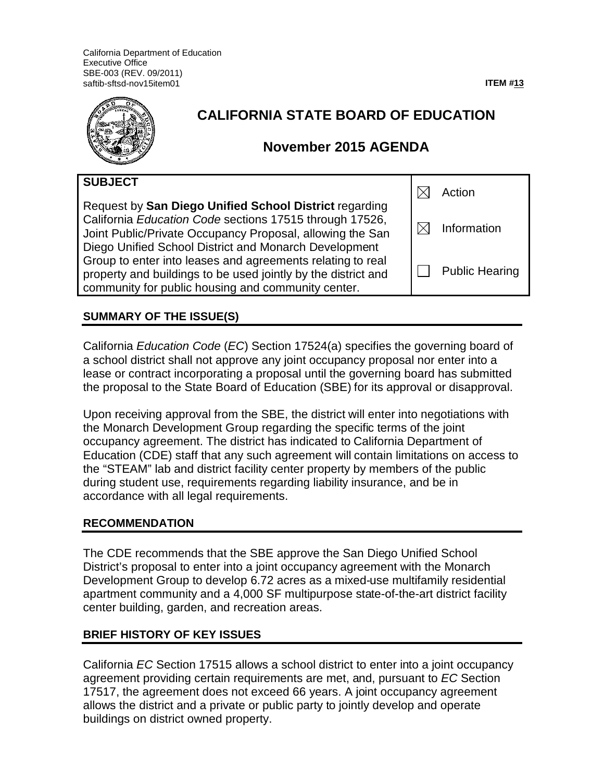California Department of Education Executive Office SBE-003 (REV. 09/2011) saftib-sftsd-nov15item01 **ITEM #13**



| SUBJECT                                                                                                                                                                                                                                 | Action                |
|-----------------------------------------------------------------------------------------------------------------------------------------------------------------------------------------------------------------------------------------|-----------------------|
| Request by San Diego Unified School District regarding<br>California Education Code sections 17515 through 17526,<br>Joint Public/Private Occupancy Proposal, allowing the San<br>Diego Unified School District and Monarch Development | Information           |
| Group to enter into leases and agreements relating to real<br>property and buildings to be used jointly by the district and<br>community for public housing and community center.                                                       | <b>Public Hearing</b> |

# **SUMMARY OF THE ISSUE(S)**

California Education Code (EC) Section 17524(a) specifies the governing board of a school district shall not approve any joint occupancy proposal nor enter into a lease or contract incorporating a proposal until the governing board has submitted the proposal to the State Board of Education (SBE) for its approval or disapproval.

Upon receiving approval from the SBE, the district will enter into negotiations with the Monarch Development Group regarding the specific terms of the joint occupancy agreement. The district has indicated to California Department of Education (CDE) staff that any such agreement will contain limitations on access to the "STEAM" lab and district facility center property by members of the public during student use, requirements regarding liability insurance, and be in accordance with all legal requirements.

### **RECOMMENDATION**

The CDE recommends that the SBE approve the San Diego Unified School District's proposal to enter into a joint occupancy agreement with the Monarch Development Group to develop 6.72 acres as a mixed-use multifamily residential apartment community and a 4,000 SF multipurpose state-of-the-art district facility center building, garden, and recreation areas.

# **BRIEF HISTORY OF KEY ISSUES**

California EC Section 17515 allows a school district to enter into a joint occupancy agreement providing certain requirements are met, and, pursuant to EC Section 17517, the agreement does not exceed 66 years. A joint occupancy agreement allows the district and a private or public party to jointly develop and operate buildings on district owned property.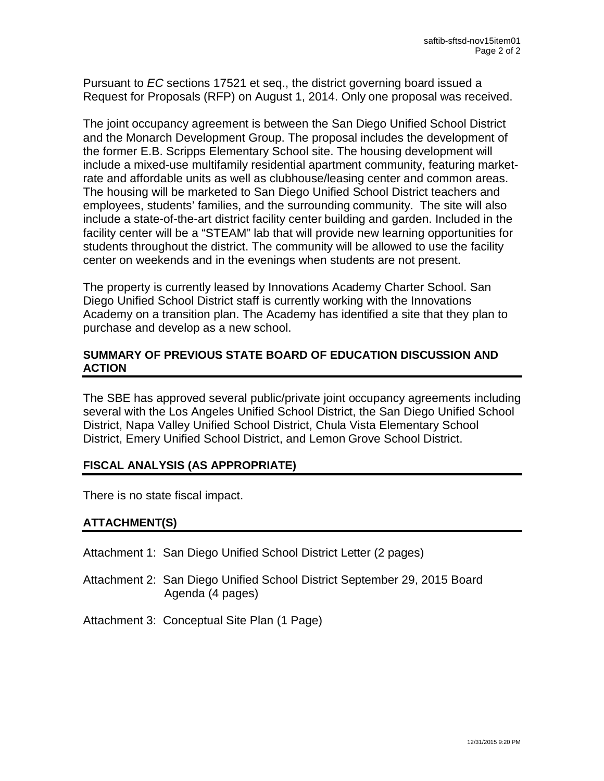Pursuant to EC sections 17521 et seq., the district governing board issued a Request for Proposals (RFP) on August 1, 2014. Only one proposal was received.

The joint occupancy agreement is between the San Diego Unified School District and the Monarch Development Group. The proposal includes the development of the former E.B. Scripps Elementary School site. The housing development will include a mixed-use multifamily residential apartment community, featuring marketrate and affordable units as well as clubhouse/leasing center and common areas. The housing will be marketed to San Diego Unified School District teachers and employees, students' families, and the surrounding community. The site will also include a state-of-the-art district facility center building and garden. Included in the facility center will be a "STEAM" lab that will provide new learning opportunities for students throughout the district. The community will be allowed to use the facility center on weekends and in the evenings when students are not present.

The property is currently leased by Innovations Academy Charter School. San Diego Unified School District staff is currently working with the Innovations Academy on a transition plan. The Academy has identified a site that they plan to purchase and develop as a new school.

## **SUMMARY OF PREVIOUS STATE BOARD OF EDUCATION DISCUSSION AND ACTION**

The SBE has approved several public/private joint occupancy agreements including several with the Los Angeles Unified School District, the San Diego Unified School District, Napa Valley Unified School District, Chula Vista Elementary School District, Emery Unified School District, and Lemon Grove School District.

# **FISCAL ANALYSIS (AS APPROPRIATE)**

There is no state fiscal impact.

### **ATTACHMENT(S)**

Attachment 1: San Diego Unified School District Letter (2 pages)

Attachment 2: San Diego Unified School District September 29, 2015 Board Agenda (4 pages)

Attachment 3: Conceptual Site Plan (1 Page)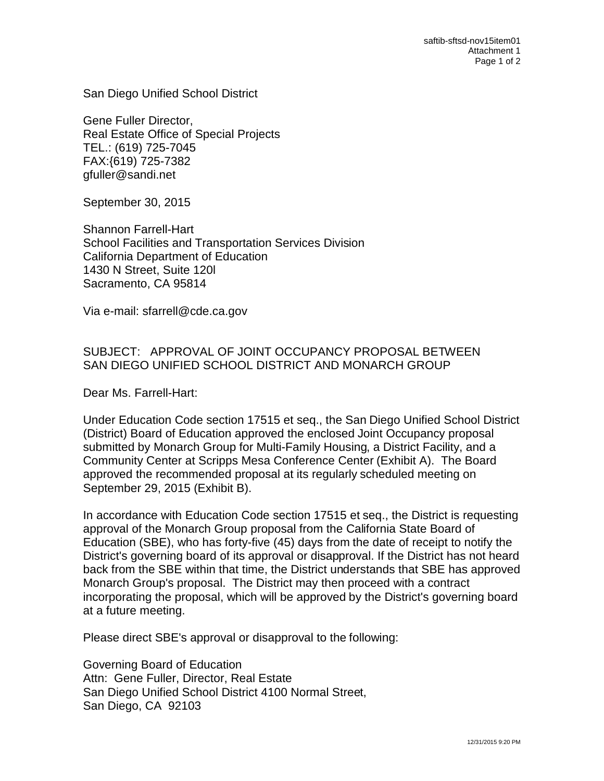San Diego Unified School District

Gene Fuller Director, Real Estate Office of Special Projects TEL.: (619) 725-7045 FAX:{619) 725-7382 gfuller@sandi.net

September 30, 2015

Shannon Farrell-Hart School Facilities and Transportation Services Division California Department of Education 1430 N Street, Suite 120l Sacramento, CA 95814

Via e-mail: sfarrell@cde.ca.gov

# SUBJECT: APPROVAL OF JOINT OCCUPANCY PROPOSAL BETWEEN SAN DIEGO UNIFIED SCHOOL DISTRICT AND MONARCH GROUP

Dear Ms. Farrell-Hart:

Under Education Code section 17515 et seq., the San Diego Unified School District (District) Board of Education approved the enclosed Joint Occupancy proposal submitted by Monarch Group for Multi-Family Housing, a District Facility, and a Community Center at Scripps Mesa Conference Center (Exhibit A). The Board approved the recommended proposal at its regularly scheduled meeting on September 29, 2015 (Exhibit B).

In accordance with Education Code section 17515 et seq., the District is requesting approval of the Monarch Group proposal from the California State Board of Education (SBE), who has forty-five (45) days from the date of receipt to notify the District's governing board of its approval or disapproval. If the District has not heard back from the SBE within that time, the District understands that SBE has approved Monarch Group's proposal. The District may then proceed with a contract incorporating the proposal, which will be approved by the District's governing board at a future meeting.

Please direct SBE's approval or disapproval to the following:

Governing Board of Education Attn: Gene Fuller, Director, Real Estate San Diego Unified School District 4100 Normal Street, San Diego, CA 92103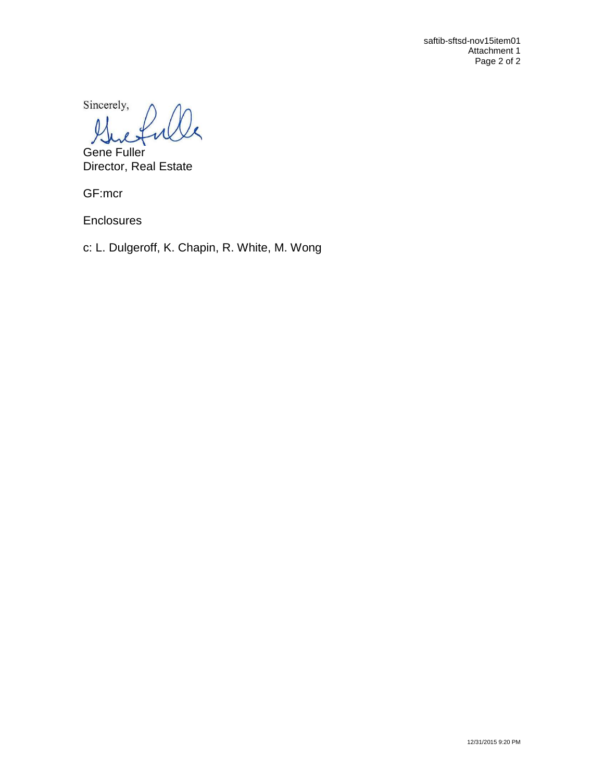saftib-sftsd-nov15item01 Attachment 1 Page 2 of 2

Sincerely,

Gene Fuller Director, Real Estate

GF:mcr

**Enclosures** 

c: L. Dulgeroff, K. Chapin, R. White, M. Wong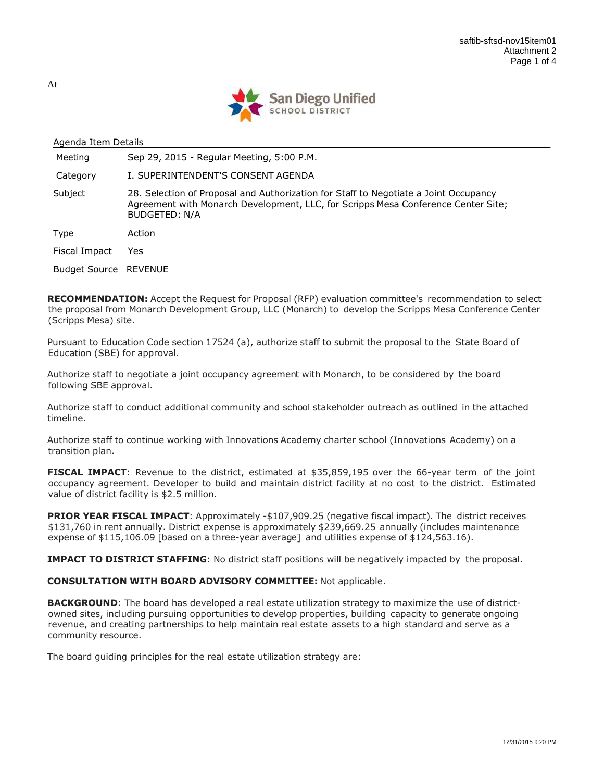

| Agenda Item Details          |                                                                                                                                                                                                   |  |  |  |
|------------------------------|---------------------------------------------------------------------------------------------------------------------------------------------------------------------------------------------------|--|--|--|
| Meeting                      | Sep 29, 2015 - Regular Meeting, 5:00 P.M.                                                                                                                                                         |  |  |  |
| Category                     | I. SUPERINTENDENT'S CONSENT AGENDA                                                                                                                                                                |  |  |  |
| Subject                      | 28. Selection of Proposal and Authorization for Staff to Negotiate a Joint Occupancy<br>Agreement with Monarch Development, LLC, for Scripps Mesa Conference Center Site;<br><b>BUDGETED: N/A</b> |  |  |  |
| Type                         | Action                                                                                                                                                                                            |  |  |  |
| Fiscal Impact                | Yes                                                                                                                                                                                               |  |  |  |
| <b>Budget Source REVENUE</b> |                                                                                                                                                                                                   |  |  |  |

RECOMMENDATION: Accept the Request for Proposal (RFP) evaluation committee's recommendation to select the proposal from Monarch Development Group, LLC (Monarch) to develop the Scripps Mesa Conference Center (Scripps Mesa) site.

Pursuant to Education Code section 17524 (a), authorize staff to submit the proposal to the State Board of Education (SBE) for approval.

Authorize staff to negotiate a joint occupancy agreement with Monarch, to be considered by the board following SBE approval.

Authorize staff to conduct additional community and school stakeholder outreach as outlined in the attached timeline.

Authorize staff to continue working with Innovations Academy charter school (Innovations Academy) on a transition plan.

FISCAL IMPACT: Revenue to the district, estimated at \$35,859,195 over the 66-year term of the joint occupancy agreement. Developer to build and maintain district facility at no cost to the district. Estimated value of district facility is \$2.5 million.

**PRIOR YEAR FISCAL IMPACT:** Approximately -\$107,909.25 (negative fiscal impact). The district receives \$131,760 in rent annually. District expense is approximately \$239,669.25 annually (includes maintenance expense of \$115,106.09 [based on a three-year average] and utilities expense of \$124,563.16).

**IMPACT TO DISTRICT STAFFING:** No district staff positions will be negatively impacted by the proposal.

### CONSULTATION WITH BOARD ADVISORY COMMITTEE: Not applicable.

**BACKGROUND:** The board has developed a real estate utilization strategy to maximize the use of districtowned sites, including pursuing opportunities to develop properties, building capacity to generate ongoing revenue, and creating partnerships to help maintain real estate assets to a high standard and serve as a community resource.

The board guiding principles for the real estate utilization strategy are:

At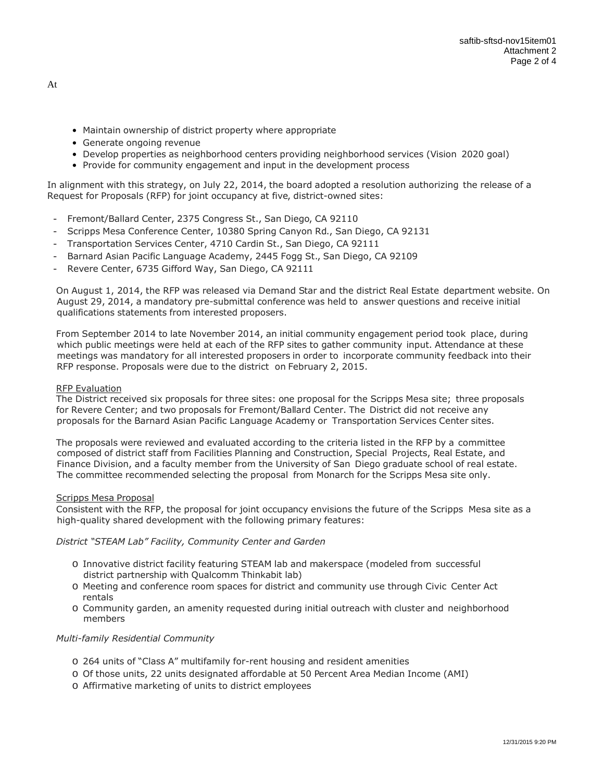- Maintain ownership of district property where appropriate
- Generate ongoing revenue
- Develop properties as neighborhood centers providing neighborhood services (Vision 2020 goal)
- Provide for community engagement and input in the development process

In alignment with this strategy, on July 22, 2014, the board adopted a resolution authorizing the release of a Request for Proposals (RFP) for joint occupancy at five, district-owned sites:

- Fremont/Ballard Center, 2375 Congress St., San Diego, CA 92110
- Scripps Mesa Conference Center, 10380 Spring Canyon Rd., San Diego, CA 92131
- Transportation Services Center, 4710 Cardin St., San Diego, CA 92111
- Barnard Asian Pacific Language Academy, 2445 Fogg St., San Diego, CA 92109
- Revere Center, 6735 Gifford Way, San Diego, CA 92111

On August 1, 2014, the RFP was released via Demand Star and the district Real Estate department website. On August 29, 2014, a mandatory pre-submittal conference was held to answer questions and receive initial qualifications statements from interested proposers.

From September 2014 to late November 2014, an initial community engagement period took place, during which public meetings were held at each of the RFP sites to gather community input. Attendance at these meetings was mandatory for all interested proposers in order to incorporate community feedback into their RFP response. Proposals were due to the district on February 2, 2015.

#### RFP Evaluation

The District received six proposals for three sites: one proposal for the Scripps Mesa site; three proposals for Revere Center; and two proposals for Fremont/Ballard Center. The District did not receive any proposals for the Barnard Asian Pacific Language Academy or Transportation Services Center sites.

The proposals were reviewed and evaluated according to the criteria listed in the RFP by a committee composed of district staff from Facilities Planning and Construction, Special Projects, Real Estate, and Finance Division, and a faculty member from the University of San Diego graduate school of real estate. The committee recommended selecting the proposal from Monarch for the Scripps Mesa site only.

#### Scripps Mesa Proposal

Consistent with the RFP, the proposal for joint occupancy envisions the future of the Scripps Mesa site as a high-quality shared development with the following primary features:

### District "STEAM Lab" Facility, Community Center and Garden

- o Innovative district facility featuring STEAM lab and makerspace (modeled from successful district partnership with Qualcomm Thinkabit lab)
- o Meeting and conference room spaces for district and community use through Civic Center Act rentals
- o Community garden, an amenity requested during initial outreach with cluster and neighborhood members

#### Multi-family Residential Community

- o 264 units of "Class A" multifamily for-rent housing and resident amenities
- o Of those units, 22 units designated affordable at 50 Percent Area Median Income (AMI)
- o Affirmative marketing of units to district employees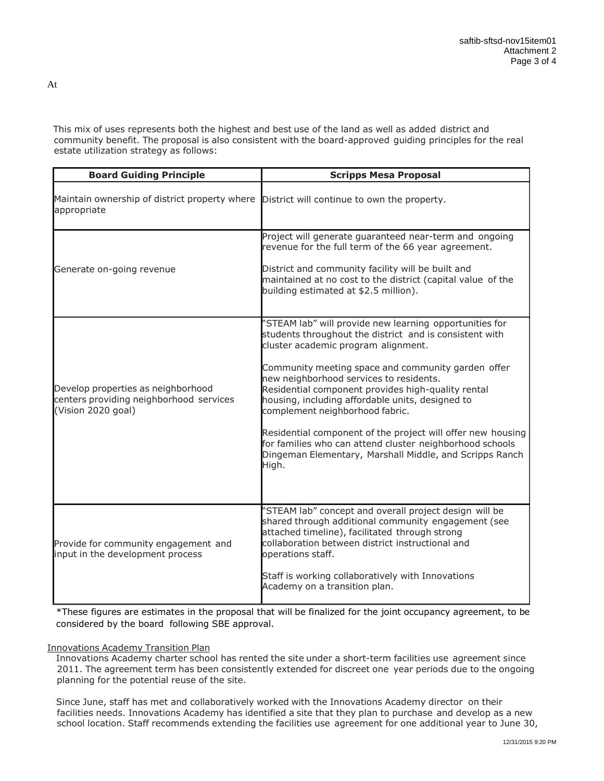This mix of uses represents both the highest and best use of the land as well as added district and community benefit. The proposal is also consistent with the board-approved guiding principles for the real estate utilization strategy as follows:

| <b>Board Guiding Principle</b>                                                                      | <b>Scripps Mesa Proposal</b>                                                                                                                                                                                                                                                                                                                                                                                                                                                                                                                                                                           |
|-----------------------------------------------------------------------------------------------------|--------------------------------------------------------------------------------------------------------------------------------------------------------------------------------------------------------------------------------------------------------------------------------------------------------------------------------------------------------------------------------------------------------------------------------------------------------------------------------------------------------------------------------------------------------------------------------------------------------|
| Maintain ownership of district property where<br>appropriate                                        | District will continue to own the property.                                                                                                                                                                                                                                                                                                                                                                                                                                                                                                                                                            |
| Generate on-going revenue                                                                           | Project will generate guaranteed near-term and ongoing<br>revenue for the full term of the 66 year agreement.<br>District and community facility will be built and<br>maintained at no cost to the district (capital value of the<br>building estimated at \$2.5 million).                                                                                                                                                                                                                                                                                                                             |
| Develop properties as neighborhood<br>centers providing neighborhood services<br>(Vision 2020 goal) | 'STEAM lab" will provide new learning opportunities for<br>students throughout the district and is consistent with<br>cluster academic program alignment.<br>Community meeting space and community garden offer<br>new neighborhood services to residents.<br>Residential component provides high-quality rental<br>housing, including affordable units, designed to<br>complement neighborhood fabric.<br>Residential component of the project will offer new housing<br>for families who can attend cluster neighborhood schools<br>Dingeman Elementary, Marshall Middle, and Scripps Ranch<br>High. |
| Provide for community engagement and<br>input in the development process                            | 'STEAM lab" concept and overall project design will be<br>shared through additional community engagement (see<br>attached timeline), facilitated through strong<br>collaboration between district instructional and<br>operations staff.<br>Staff is working collaboratively with Innovations<br>Academy on a transition plan.                                                                                                                                                                                                                                                                         |

\*These figures are estimates in the proposal that will be finalized for the joint occupancy agreement, to be considered by the board following SBE approval.

#### Innovations Academy Transition Plan

Innovations Academy charter school has rented the site under a short-term facilities use agreement since 2011. The agreement term has been consistently extended for discreet one year periods due to the ongoing planning for the potential reuse of the site.

Since June, staff has met and collaboratively worked with the Innovations Academy director on their facilities needs. Innovations Academy has identified a site that they plan to purchase and develop as a new school location. Staff recommends extending the facilities use agreement for one additional year to June 30,

At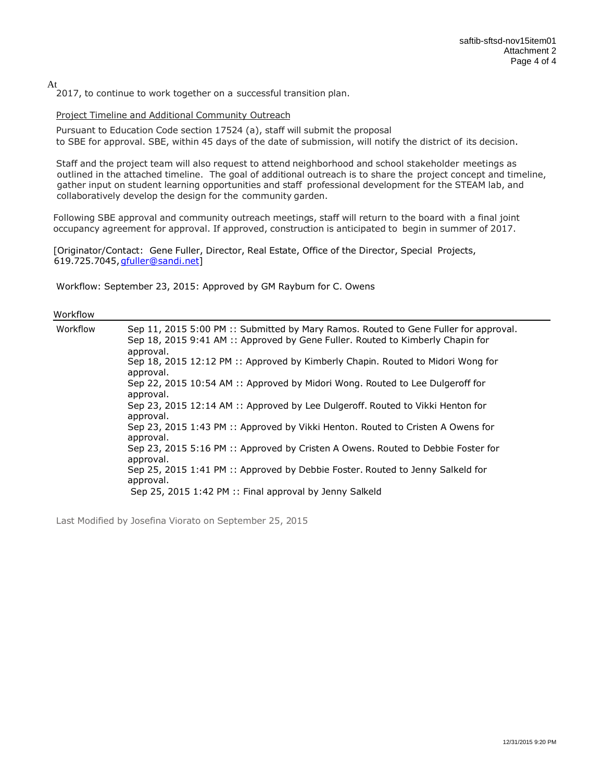At

2017, to continue to work together on a successful transition plan.

#### Project Timeline and Additional Community Outreach

Pursuant to Education Code section 17524 (a), staff will submit the proposal to SBE for approval. SBE, within 45 days of the date of submission, will notify the district of its decision.

Staff and the project team will also request to attend neighborhood and school stakeholder meetings as outlined in the attached timeline. The goal of additional outreach is to share the project concept and timeline, gather input on student learning opportunities and staff professional development for the STEAM lab, and collaboratively develop the design for the community garden.

Following SBE approval and community outreach meetings, staff will return to the board with a final joint occupancy agreement for approval. If approved, construction is anticipated to begin in summer of 2017.

[Originator/Contact: Gene Fuller, Director, Real Estate, Office of the Director, Special Projects, 619.725.7045, gfuller@sandi.net]

Workflow: September 23, 2015: Approved by GM Rayburn for C. Owens

#### Workflow

| Workflow | Sep 11, 2015 5:00 PM :: Submitted by Mary Ramos. Routed to Gene Fuller for approval.<br>Sep 18, 2015 9:41 AM :: Approved by Gene Fuller. Routed to Kimberly Chapin for<br>approval. |
|----------|-------------------------------------------------------------------------------------------------------------------------------------------------------------------------------------|
|          | Sep 18, 2015 12:12 PM :: Approved by Kimberly Chapin. Routed to Midori Wong for<br>approval.                                                                                        |
|          | Sep 22, 2015 10:54 AM :: Approved by Midori Wong. Routed to Lee Dulgeroff for<br>approval.                                                                                          |
|          | Sep 23, 2015 12:14 AM :: Approved by Lee Dulgeroff. Routed to Vikki Henton for<br>approval.                                                                                         |
|          | Sep 23, 2015 1:43 PM :: Approved by Vikki Henton. Routed to Cristen A Owens for<br>approval.                                                                                        |
|          | Sep 23, 2015 5:16 PM :: Approved by Cristen A Owens. Routed to Debbie Foster for<br>approval.                                                                                       |
|          | Sep 25, 2015 1:41 PM :: Approved by Debbie Foster. Routed to Jenny Salkeld for<br>approval.                                                                                         |
|          | Sep 25, 2015 1:42 PM :: Final approval by Jenny Salkeld                                                                                                                             |

Last Modified by Josefina Viorato on September 25, 2015